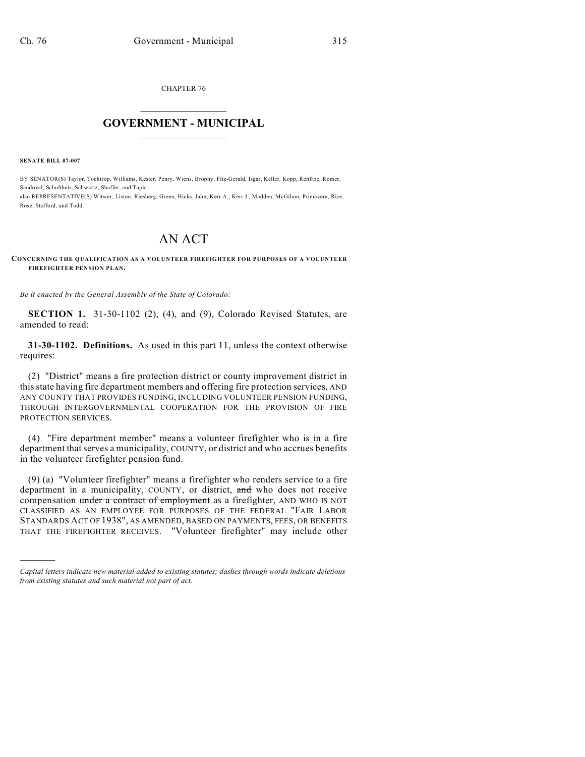CHAPTER 76  $\mathcal{L}_\text{max}$  . The set of the set of the set of the set of the set of the set of the set of the set of the set of the set of the set of the set of the set of the set of the set of the set of the set of the set of the set

## **GOVERNMENT - MUNICIPAL**  $\_$

**SENATE BILL 07-007**

)))))

BY SENATOR(S) Taylor, Tochtrop, Williams, Kester, Penry, Wiens, Brophy, Fitz-Gerald, Isgar, Keller, Kopp, Renfroe, Romer, Sandoval, Schultheis, Schwartz, Shaffer, and Tapia; also REPRESENTATIVE(S) Witwer, Liston, Riesberg, Green, Hicks, Jahn, Kerr A., Kerr J., Madden, McGihon, Primavera, Rice, Rose, Stafford, and Todd.

## AN ACT

## **CONCERNING THE QUALIFICATION AS A VOLUNTEER FIREFIGHTER FOR PURPOSES OF A VOLUNTEER FIREFIGHTER PENSION PLAN.**

*Be it enacted by the General Assembly of the State of Colorado:*

**SECTION 1.** 31-30-1102 (2), (4), and (9), Colorado Revised Statutes, are amended to read:

**31-30-1102. Definitions.** As used in this part 11, unless the context otherwise requires:

(2) "District" means a fire protection district or county improvement district in this state having fire department members and offering fire protection services, AND ANY COUNTY THAT PROVIDES FUNDING, INCLUDING VOLUNTEER PENSION FUNDING, THROUGH INTERGOVERNMENTAL COOPERATION FOR THE PROVISION OF FIRE PROTECTION SERVICES.

(4) "Fire department member" means a volunteer firefighter who is in a fire department that serves a municipality, COUNTY, or district and who accrues benefits in the volunteer firefighter pension fund.

(9) (a) "Volunteer firefighter" means a firefighter who renders service to a fire department in a municipality, COUNTY, or district, and who does not receive compensation under a contract of employment as a firefighter, AND WHO IS NOT CLASSIFIED AS AN EMPLOYEE FOR PURPOSES OF THE FEDERAL "FAIR LABOR STANDARDS ACT OF 1938", AS AMENDED, BASED ON PAYMENTS, FEES, OR BENEFITS THAT THE FIREFIGHTER RECEIVES. "Volunteer firefighter" may include other

*Capital letters indicate new material added to existing statutes; dashes through words indicate deletions from existing statutes and such material not part of act.*